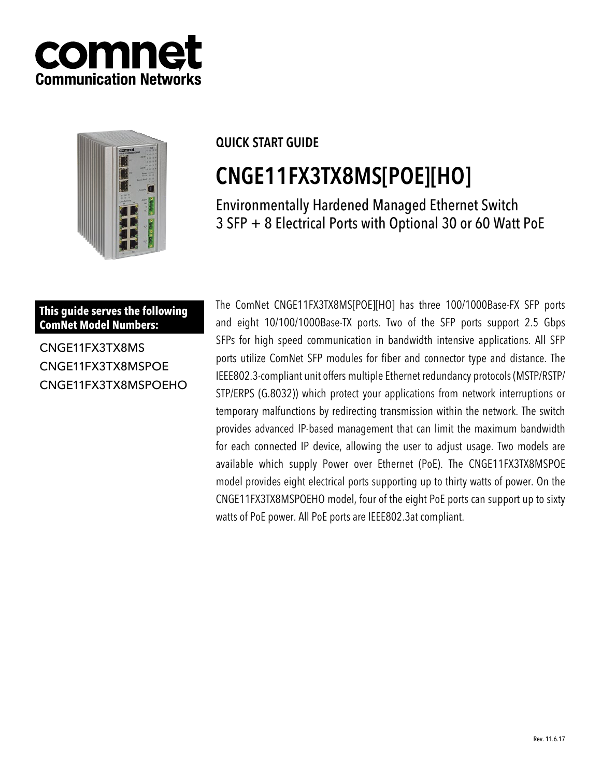



### QUICK START GUIDE

# CNGE11FX3TX8MS[POE][HO]

Environmentally Hardened Managed Ethernet Switch 3 SFP + 8 Electrical Ports with Optional 30 or 60 Watt PoE

**This guide serves the following ComNet Model Numbers:**

CNGE11FX3TX8MS CNGE11FX3TX8MSPOE CNGE11FX3TX8MSPOEHO The ComNet CNGE11FX3TX8MS[POE][HO] has three 100/1000Base-FX SFP ports and eight 10/100/1000Base-TX ports. Two of the SFP ports support 2.5 Gbps SFPs for high speed communication in bandwidth intensive applications. All SFP ports utilize ComNet SFP modules for fiber and connector type and distance. The IEEE802.3-compliant unit offers multiple Ethernet redundancy protocols (MSTP/RSTP/ STP/ERPS (G.8032)) which protect your applications from network interruptions or temporary malfunctions by redirecting transmission within the network. The switch provides advanced IP-based management that can limit the maximum bandwidth for each connected IP device, allowing the user to adjust usage. Two models are available which supply Power over Ethernet (PoE). The CNGE11FX3TX8MSPOE model provides eight electrical ports supporting up to thirty watts of power. On the CNGE11FX3TX8MSPOEHO model, four of the eight PoE ports can support up to sixty watts of PoE power. All PoE ports are IEEE802.3at compliant.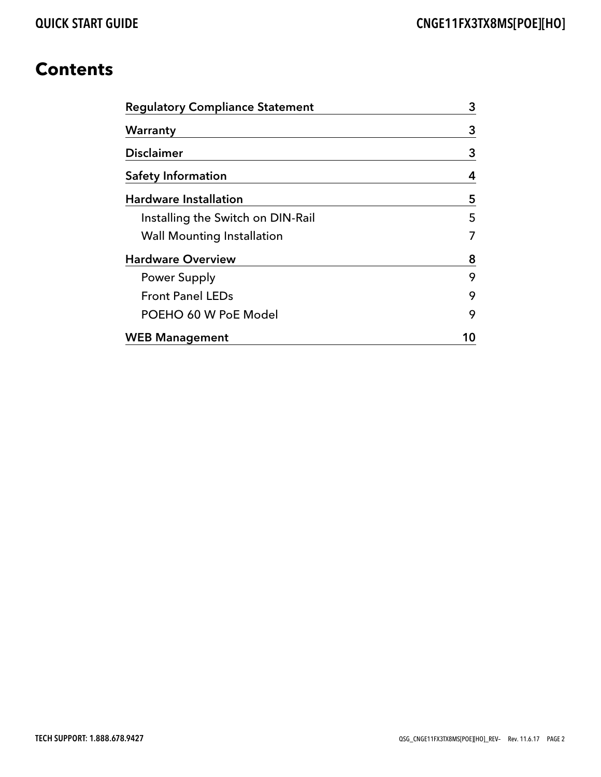### **Contents**

| <b>Regulatory Compliance Statement</b> |    |  |  |  |
|----------------------------------------|----|--|--|--|
| Warranty                               | 3  |  |  |  |
| <b>Disclaimer</b>                      | 3  |  |  |  |
| <b>Safety Information</b>              | 4  |  |  |  |
| <b>Hardware Installation</b>           | 5  |  |  |  |
| Installing the Switch on DIN-Rail      | 5  |  |  |  |
| <b>Wall Mounting Installation</b>      | 7  |  |  |  |
| <b>Hardware Overview</b>               | 8  |  |  |  |
| <b>Power Supply</b>                    | 9  |  |  |  |
| <b>Front Panel LEDs</b>                | 9  |  |  |  |
| POEHO 60 W PoE Model                   | 9  |  |  |  |
| <b>WEB Management</b>                  | 10 |  |  |  |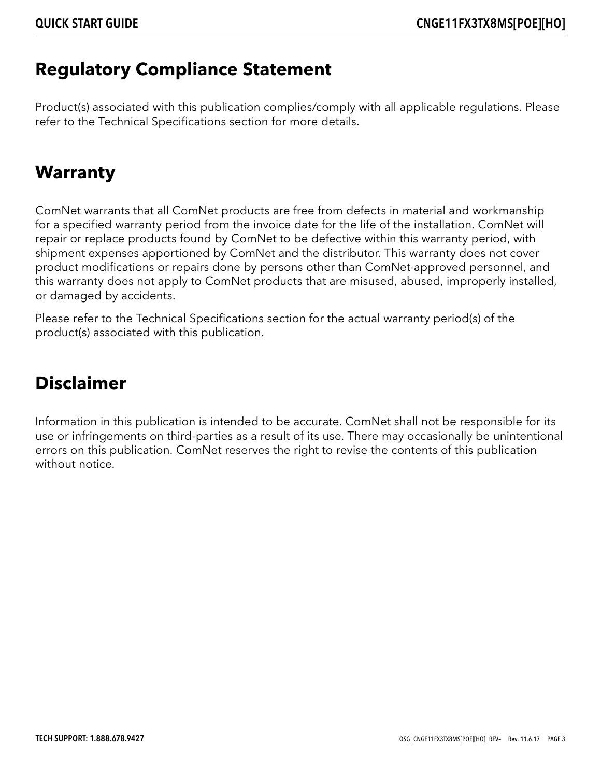### **Regulatory Compliance Statement**

Product(s) associated with this publication complies/comply with all applicable regulations. Please refer to the Technical Specifications section for more details.

### **Warranty**

ComNet warrants that all ComNet products are free from defects in material and workmanship for a specified warranty period from the invoice date for the life of the installation. ComNet will repair or replace products found by ComNet to be defective within this warranty period, with shipment expenses apportioned by ComNet and the distributor. This warranty does not cover product modifications or repairs done by persons other than ComNet-approved personnel, and this warranty does not apply to ComNet products that are misused, abused, improperly installed, or damaged by accidents.

Please refer to the Technical Specifications section for the actual warranty period(s) of the product(s) associated with this publication.

### **Disclaimer**

Information in this publication is intended to be accurate. ComNet shall not be responsible for its use or infringements on third-parties as a result of its use. There may occasionally be unintentional errors on this publication. ComNet reserves the right to revise the contents of this publication without notice.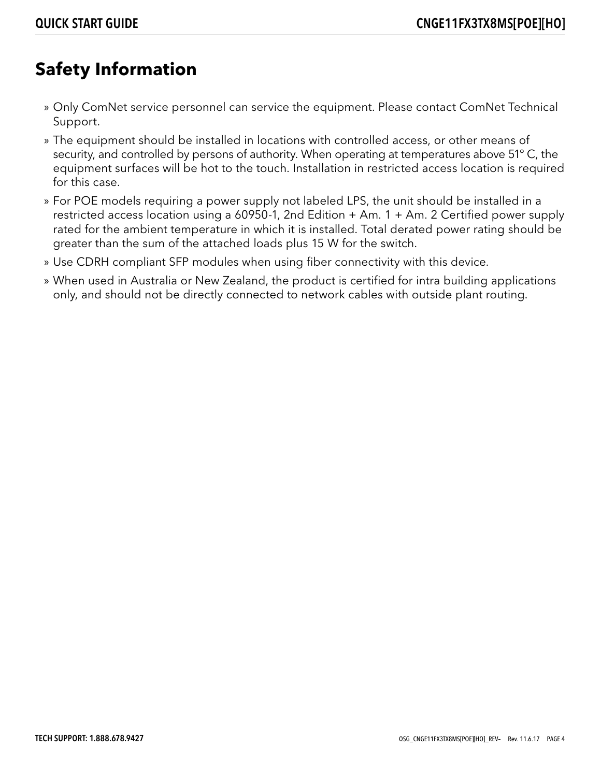### **Safety Information**

- » Only ComNet service personnel can service the equipment. Please contact ComNet Technical Support.
- » The equipment should be installed in locations with controlled access, or other means of security, and controlled by persons of authority. When operating at temperatures above 51º C, the equipment surfaces will be hot to the touch. Installation in restricted access location is required for this case.
- » For POE models requiring a power supply not labeled LPS, the unit should be installed in a restricted access location using a 60950-1, 2nd Edition + Am. 1 + Am. 2 Certified power supply rated for the ambient temperature in which it is installed. Total derated power rating should be greater than the sum of the attached loads plus 15 W for the switch.
- » Use CDRH compliant SFP modules when using fiber connectivity with this device.
- » When used in Australia or New Zealand, the product is certified for intra building applications only, and should not be directly connected to network cables with outside plant routing.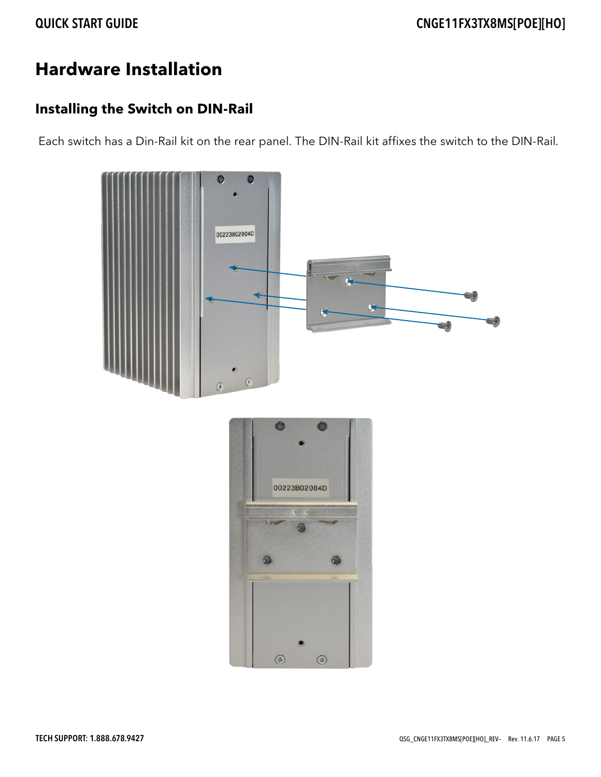## **Hardware Installation**

### **Installing the Switch on DIN-Rail**

Each switch has a Din-Rail kit on the rear panel. The DIN-Rail kit affixes the switch to the DIN-Rail.



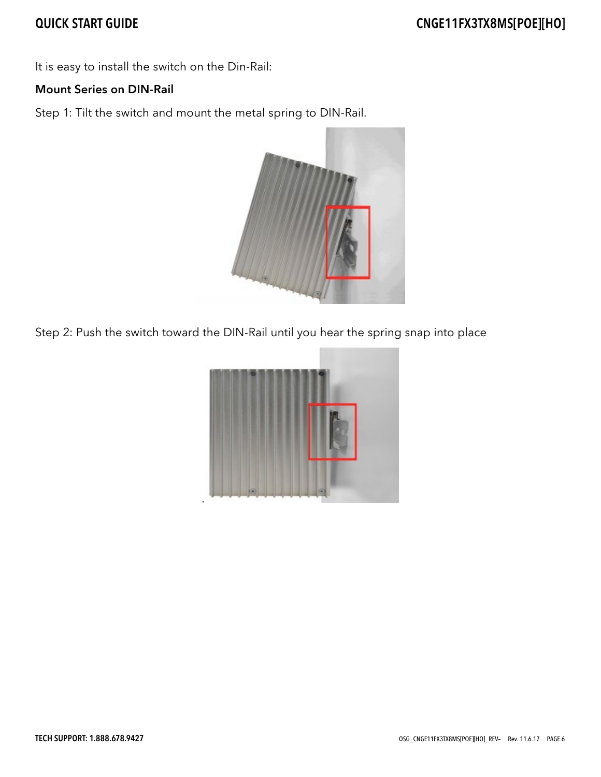It is easy to install the switch on the Din-Rail:

#### Mount Series on DIN-Rail

Step 1: Tilt the switch and mount the metal spring to DIN-Rail.



Step 2: Push the switch toward the DIN-Rail until you hear the spring snap into place

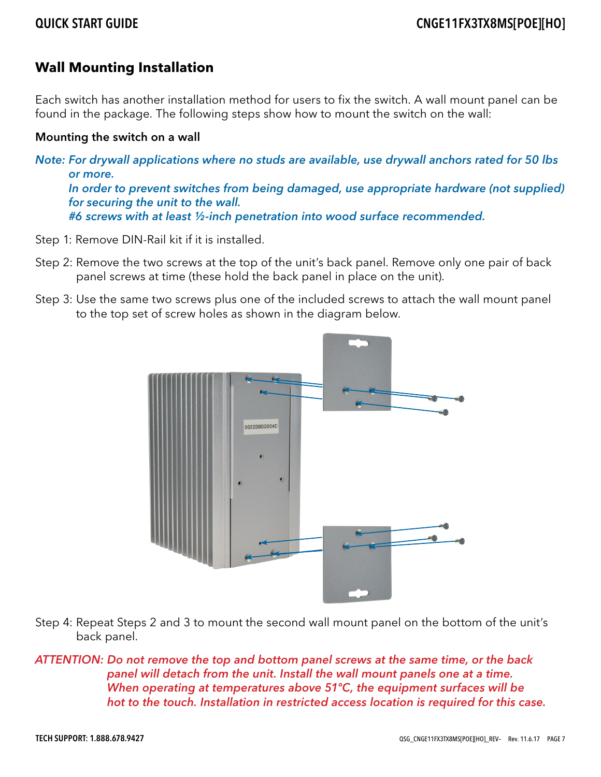### **Wall Mounting Installation**

Each switch has another installation method for users to fix the switch. A wall mount panel can be found in the package. The following steps show how to mount the switch on the wall:

#### Mounting the switch on a wall

Note: For drywall applications where no studs are available, use drywall anchors rated for 50 lbs or more. In order to prevent switches from being damaged, use appropriate hardware (not supplied) for securing the unit to the wall. #6 screws with at least ½-inch penetration into wood surface recommended.

- Step 1: Remove DIN-Rail kit if it is installed.
- Step 2: Remove the two screws at the top of the unit's back panel. Remove only one pair of back panel screws at time (these hold the back panel in place on the unit).
- Step 3: Use the same two screws plus one of the included screws to attach the wall mount panel to the top set of screw holes as shown in the diagram below.



- Step 4: Repeat Steps 2 and 3 to mount the second wall mount panel on the bottom of the unit's back panel.
- ATTENTION: Do not remove the top and bottom panel screws at the same time, or the back panel will detach from the unit. Install the wall mount panels one at a time. When operating at temperatures above 51°C, the equipment surfaces will be hot to the touch. Installation in restricted access location is required for this case.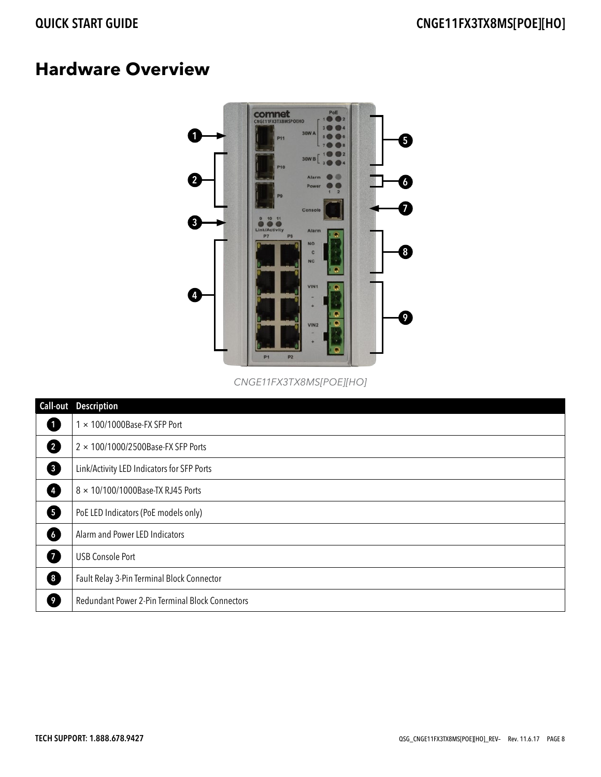### **Hardware Overview**



CNGE11FX3TX8MS[POE][HO]

| Call-out       | <b>Description</b>                              |
|----------------|-------------------------------------------------|
| O              | $1 \times 100/1000$ Base-FX SFP Port            |
| 2              | $2 \times 100/1000/2500$ Base-FX SFP Ports      |
| 6              | Link/Activity LED Indicators for SFP Ports      |
| Ø              | 8 × 10/100/1000Base-TX RJ45 Ports               |
| 6              | PoE LED Indicators (PoE models only)            |
| 6              | Alarm and Power LED Indicators                  |
| Ø              | <b>USB Console Port</b>                         |
| 6              | Fault Relay 3-Pin Terminal Block Connector      |
| $\overline{9}$ | Redundant Power 2-Pin Terminal Block Connectors |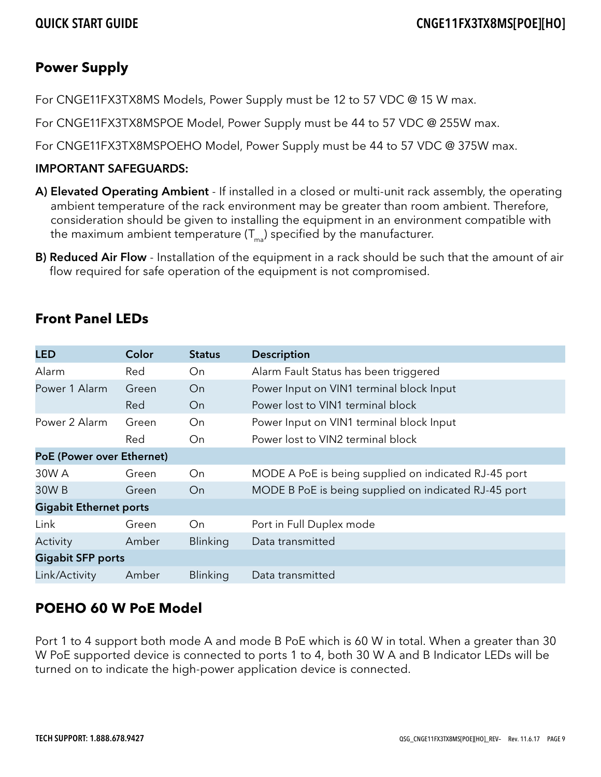### **Power Supply**

For CNGE11FX3TX8MS Models, Power Supply must be 12 to 57 VDC @ 15 W max.

For CNGE11FX3TX8MSPOE Model, Power Supply must be 44 to 57 VDC @ 255W max.

For CNGE11FX3TX8MSPOEHO Model, Power Supply must be 44 to 57 VDC @ 375W max.

#### IMPORTANT SAFEGUARDS:

- A) Elevated Operating Ambient If installed in a closed or multi-unit rack assembly, the operating ambient temperature of the rack environment may be greater than room ambient. Therefore, consideration should be given to installing the equipment in an environment compatible with the maximum ambient temperature  $(T_{m}$ ) specified by the manufacturer.
- B) Reduced Air Flow Installation of the equipment in a rack should be such that the amount of air flow required for safe operation of the equipment is not compromised.

### **Front Panel LEDs**

| <b>LED</b>                    | Color | <b>Status</b>   | <b>Description</b>                                   |  |  |
|-------------------------------|-------|-----------------|------------------------------------------------------|--|--|
| Alarm                         | Red   | On              | Alarm Fault Status has been triggered                |  |  |
| Power 1 Alarm                 | Green | On              | Power Input on VIN1 terminal block Input             |  |  |
|                               | Red   | On              | Power lost to VIN1 terminal block                    |  |  |
| Power 2 Alarm                 | Green | On              | Power Input on VIN1 terminal block Input             |  |  |
|                               | Red   | On              | Power lost to VIN2 terminal block                    |  |  |
| PoE (Power over Ethernet)     |       |                 |                                                      |  |  |
| 30W A                         | Green | On              | MODE A PoE is being supplied on indicated RJ-45 port |  |  |
| 30W B                         | Green | On              | MODE B PoE is being supplied on indicated RJ-45 port |  |  |
| <b>Gigabit Ethernet ports</b> |       |                 |                                                      |  |  |
| Link                          | Green | On              | Port in Full Duplex mode                             |  |  |
| Activity                      | Amber | <b>Blinking</b> | Data transmitted                                     |  |  |
| <b>Gigabit SFP ports</b>      |       |                 |                                                      |  |  |
| Link/Activity                 | Amber | <b>Blinking</b> | Data transmitted                                     |  |  |

### **POEHO 60 W PoE Model**

Port 1 to 4 support both mode A and mode B PoE which is 60 W in total. When a greater than 30 W PoE supported device is connected to ports 1 to 4, both 30 W A and B Indicator LEDs will be turned on to indicate the high-power application device is connected.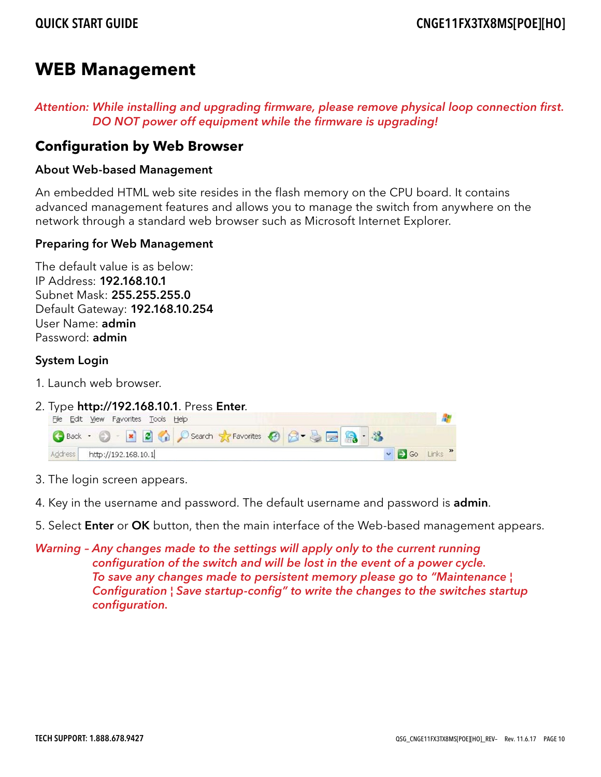### **WEB Management**

Attention: While installing and upgrading firmware, please remove physical loop connection first. DO NOT power off equipment while the firmware is upgrading!

### **Configuration by Web Browser**

#### About Web-based Management

An embedded HTML web site resides in the flash memory on the CPU board. It contains advanced management features and allows you to manage the switch from anywhere on the network through a standard web browser such as Microsoft Internet Explorer.

#### Preparing for Web Management

The default value is as below: IP Address: 192.168.10.1 Subnet Mask: 255.255.255.0 Default Gateway: 192.168.10.254 User Name: admin Password: admin

#### System Login

- 1. Launch web browser.
- 2. Type  $http://192.168.10.1. Press Enter. \nEile Edt. \nWe have a roots. \nEeb$



- 3. The login screen appears.
- 4. Key in the username and password. The default username and password is **admin**.
- 5. Select Enter or OK button, then the main interface of the Web-based management appears.
- Warning Any changes made to the settings will apply only to the current running configuration of the switch and will be lost in the event of a power cycle. To save any changes made to persistent memory please go to "Maintenance ¦ Configuration ¦ Save startup-config" to write the changes to the switches startup configuration.